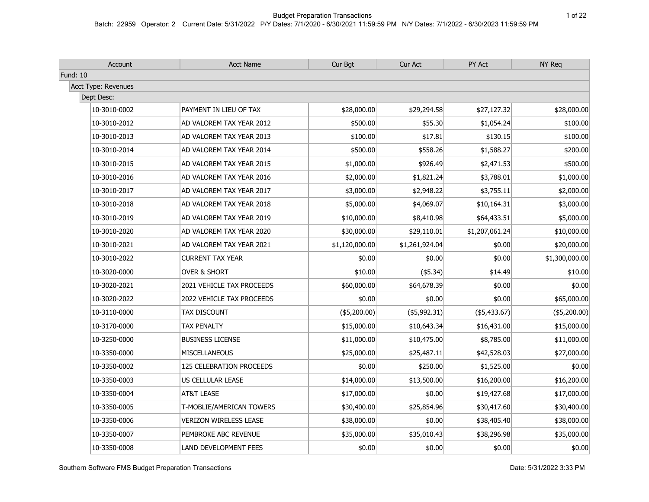|                     | Account | <b>Acct Name</b>              | Cur Bgt        | Cur Act        | PY Act         | NY Req         |
|---------------------|---------|-------------------------------|----------------|----------------|----------------|----------------|
| <b>Fund: 10</b>     |         |                               |                |                |                |                |
| Acct Type: Revenues |         |                               |                |                |                |                |
| Dept Desc:          |         |                               |                |                |                |                |
| 10-3010-0002        |         | PAYMENT IN LIEU OF TAX        | \$28,000.00    | \$29,294.58    | \$27,127.32    | \$28,000.00    |
| 10-3010-2012        |         | AD VALOREM TAX YEAR 2012      | \$500.00       | \$55.30        | \$1,054.24     | \$100.00       |
| 10-3010-2013        |         | AD VALOREM TAX YEAR 2013      | \$100.00       | \$17.81        | \$130.15       | \$100.00       |
| 10-3010-2014        |         | AD VALOREM TAX YEAR 2014      | \$500.00       | \$558.26       | \$1,588.27     | \$200.00       |
| 10-3010-2015        |         | AD VALOREM TAX YEAR 2015      | \$1,000.00     | \$926.49       | \$2,471.53     | \$500.00       |
| 10-3010-2016        |         | AD VALOREM TAX YEAR 2016      | \$2,000.00     | \$1,821.24     | \$3,788.01     | \$1,000.00     |
| 10-3010-2017        |         | AD VALOREM TAX YEAR 2017      | \$3,000.00     | \$2,948.22     | \$3,755.11     | \$2,000.00     |
| 10-3010-2018        |         | AD VALOREM TAX YEAR 2018      | \$5,000.00     | \$4,069.07     | \$10,164.31    | \$3,000.00     |
| 10-3010-2019        |         | AD VALOREM TAX YEAR 2019      | \$10,000.00    | \$8,410.98     | \$64,433.51    | \$5,000.00     |
| 10-3010-2020        |         | AD VALOREM TAX YEAR 2020      | \$30,000.00    | \$29,110.01    | \$1,207,061.24 | \$10,000.00    |
| 10-3010-2021        |         | AD VALOREM TAX YEAR 2021      | \$1,120,000.00 | \$1,261,924.04 | \$0.00         | \$20,000.00    |
| 10-3010-2022        |         | <b>CURRENT TAX YEAR</b>       | \$0.00         | \$0.00         | \$0.00         | \$1,300,000.00 |
| 10-3020-0000        |         | <b>OVER &amp; SHORT</b>       | \$10.00        | ( \$5.34)      | \$14.49        | \$10.00        |
| 10-3020-2021        |         | 2021 VEHICLE TAX PROCEEDS     | \$60,000.00    | \$64,678.39    | \$0.00         | \$0.00         |
| 10-3020-2022        |         | 2022 VEHICLE TAX PROCEEDS     | \$0.00         | \$0.00         | \$0.00         | \$65,000.00    |
| 10-3110-0000        |         | <b>TAX DISCOUNT</b>           | $(*5,200.00)$  | $(*5,992.31)$  | $(*5,433.67)$  | $(*5,200.00)$  |
| 10-3170-0000        |         | <b>TAX PENALTY</b>            | \$15,000.00    | \$10,643.34    | \$16,431.00    | \$15,000.00    |
| 10-3250-0000        |         | <b>BUSINESS LICENSE</b>       | \$11,000.00    | \$10,475.00    | \$8,785.00     | \$11,000.00    |
| 10-3350-0000        |         | <b>MISCELLANEOUS</b>          | \$25,000.00    | \$25,487.11    | \$42,528.03    | \$27,000.00    |
| 10-3350-0002        |         | 125 CELEBRATION PROCEEDS      | \$0.00         | \$250.00       | \$1,525.00     | \$0.00         |
| 10-3350-0003        |         | US CELLULAR LEASE             | \$14,000.00    | \$13,500.00    | \$16,200.00    | \$16,200.00    |
| 10-3350-0004        |         | AT&T LEASE                    | \$17,000.00    | \$0.00         | \$19,427.68    | \$17,000.00    |
| 10-3350-0005        |         | T-MOBLIE/AMERICAN TOWERS      | \$30,400.00    | \$25,854.96    | \$30,417.60    | \$30,400.00    |
| 10-3350-0006        |         | <b>VERIZON WIRELESS LEASE</b> | \$38,000.00    | \$0.00         | \$38,405.40    | \$38,000.00    |
| 10-3350-0007        |         | PEMBROKE ABC REVENUE          | \$35,000.00    | \$35,010.43    | \$38,296.98    | \$35,000.00    |
| 10-3350-0008        |         | <b>LAND DEVELOPMENT FEES</b>  | \$0.00         | \$0.00         | \$0.00         | \$0.00         |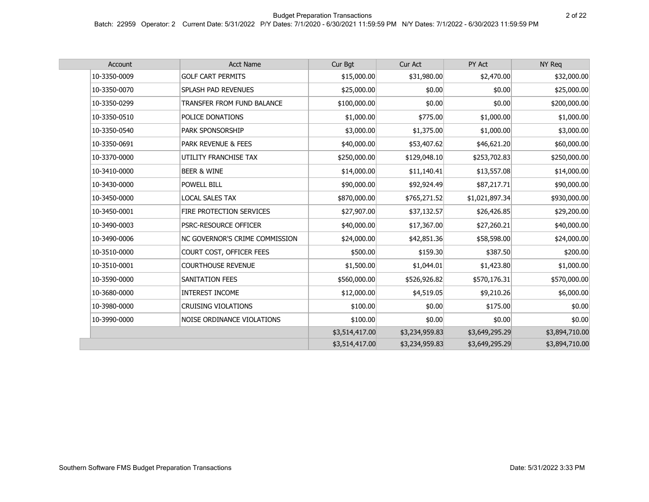| Account      | <b>Acct Name</b>               | Cur Bgt        | Cur Act        | PY Act         | NY Req         |
|--------------|--------------------------------|----------------|----------------|----------------|----------------|
| 10-3350-0009 | <b>GOLF CART PERMITS</b>       | \$15,000.00    | \$31,980.00    | \$2,470.00     | \$32,000.00    |
| 10-3350-0070 | SPLASH PAD REVENUES            | \$25,000.00    | \$0.00         | \$0.00         | \$25,000.00    |
| 10-3350-0299 | TRANSFER FROM FUND BALANCE     | \$100,000.00   | \$0.00         | \$0.00         | \$200,000.00   |
| 10-3350-0510 | POLICE DONATIONS               | \$1,000.00     | \$775.00       | \$1,000.00     | \$1,000.00     |
| 10-3350-0540 | PARK SPONSORSHIP               | \$3,000.00     | \$1,375.00     | \$1,000.00     | \$3,000.00     |
| 10-3350-0691 | PARK REVENUE & FEES            | \$40,000.00    | \$53,407.62    | \$46,621.20    | \$60,000.00    |
| 10-3370-0000 | UTILITY FRANCHISE TAX          | \$250,000.00   | \$129,048.10   | \$253,702.83   | \$250,000.00   |
| 10-3410-0000 | BEER & WINE                    | \$14,000.00    | \$11,140.41    | \$13,557.08    | \$14,000.00    |
| 10-3430-0000 | POWELL BILL                    | \$90,000.00    | \$92,924.49    | \$87,217.71    | \$90,000.00    |
| 10-3450-0000 | <b>LOCAL SALES TAX</b>         | \$870,000.00   | \$765,271.52   | \$1,021,897.34 | \$930,000.00   |
| 10-3450-0001 | FIRE PROTECTION SERVICES       | \$27,907.00    | \$37,132.57    | \$26,426.85    | \$29,200.00    |
| 10-3490-0003 | PSRC-RESOURCE OFFICER          | \$40,000.00    | \$17,367.00    | \$27,260.21    | \$40,000.00    |
| 10-3490-0006 | NC GOVERNOR'S CRIME COMMISSION | \$24,000.00    | \$42,851.36    | \$58,598.00    | \$24,000.00    |
| 10-3510-0000 | COURT COST, OFFICER FEES       | \$500.00       | \$159.30       | \$387.50       | \$200.00       |
| 10-3510-0001 | <b>COURTHOUSE REVENUE</b>      | \$1,500.00     | \$1,044.01     | \$1,423.80     | \$1,000.00     |
| 10-3590-0000 | SANITATION FEES                | \$560,000.00   | \$526,926.82   | \$570,176.31   | \$570,000.00   |
| 10-3680-0000 | INTEREST INCOME                | \$12,000.00    | \$4,519.05     | \$9,210.26     | \$6,000.00     |
| 10-3980-0000 | <b>CRUISING VIOLATIONS</b>     | \$100.00       | \$0.00         | \$175.00       | \$0.00         |
| 10-3990-0000 | NOISE ORDINANCE VIOLATIONS     | \$100.00       | \$0.00         | \$0.00         | \$0.00         |
|              |                                | \$3,514,417.00 | \$3,234,959.83 | \$3,649,295.29 | \$3,894,710.00 |
|              |                                | \$3,514,417.00 | \$3,234,959.83 | \$3,649,295.29 | \$3,894,710.00 |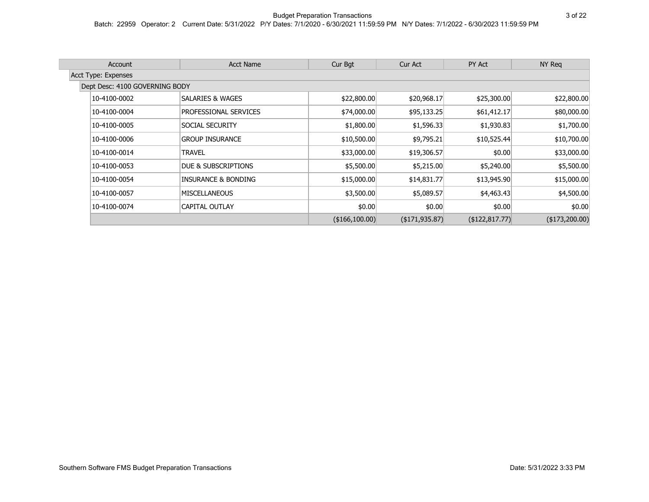| Account                        | <b>Acct Name</b>            | Cur Bgt        | Cur Act        | PY Act          | NY Req          |  |  |  |
|--------------------------------|-----------------------------|----------------|----------------|-----------------|-----------------|--|--|--|
| Acct Type: Expenses            |                             |                |                |                 |                 |  |  |  |
| Dept Desc: 4100 GOVERNING BODY |                             |                |                |                 |                 |  |  |  |
| 10-4100-0002                   | <b>SALARIES &amp; WAGES</b> | \$22,800.00    | \$20,968.17    | \$25,300.00     | \$22,800.00     |  |  |  |
| 10-4100-0004                   | PROFESSIONAL SERVICES       | \$74,000.00    | \$95,133.25    | \$61,412.17     | \$80,000.00     |  |  |  |
| 10-4100-0005                   | SOCIAL SECURITY             | \$1,800.00     | \$1,596.33     | \$1,930.83      | \$1,700.00      |  |  |  |
| 10-4100-0006                   | <b>GROUP INSURANCE</b>      | \$10,500.00    | \$9,795.21     | \$10,525.44     | \$10,700.00     |  |  |  |
| 10-4100-0014                   | <b>TRAVEL</b>               | \$33,000.00    | \$19,306.57    | \$0.00          | \$33,000.00     |  |  |  |
| 10-4100-0053                   | DUE & SUBSCRIPTIONS         | \$5,500.00     | \$5,215.00     | \$5,240.00      | \$5,500.00      |  |  |  |
| 10-4100-0054                   | INSURANCE & BONDING         | \$15,000.00    | \$14,831.77    | \$13,945.90     | \$15,000.00     |  |  |  |
| 10-4100-0057                   | <b>MISCELLANEOUS</b>        | \$3,500.00     | \$5,089.57     | \$4,463.43      | \$4,500.00      |  |  |  |
| 10-4100-0074                   | <b>CAPITAL OUTLAY</b>       | \$0.00         | \$0.00         | \$0.00          | \$0.00          |  |  |  |
|                                |                             | (\$166,100.00) | (\$171,935.87) | (\$122, 817.77) | $(*173,200.00)$ |  |  |  |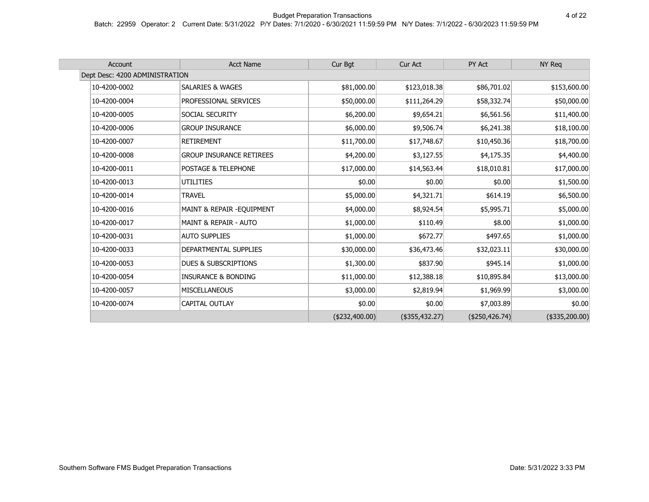| Account                        | <b>Acct Name</b>                 | Cur Bgt         | Cur Act         | PY Act           | NY Req          |
|--------------------------------|----------------------------------|-----------------|-----------------|------------------|-----------------|
| Dept Desc: 4200 ADMINISTRATION |                                  |                 |                 |                  |                 |
| 10-4200-0002                   | SALARIES & WAGES                 | \$81,000.00     | \$123,018.38    | \$86,701.02      | \$153,600.00    |
| 10-4200-0004                   | PROFESSIONAL SERVICES            | \$50,000.00     | \$111,264.29    | \$58,332.74      | \$50,000.00     |
| 10-4200-0005                   | SOCIAL SECURITY                  | \$6,200.00      | \$9,654.21      | \$6,561.56       | \$11,400.00     |
| 10-4200-0006                   | <b>GROUP INSURANCE</b>           | \$6,000.00      | \$9,506.74      | \$6,241.38       | \$18,100.00     |
| 10-4200-0007                   | <b>RETIREMENT</b>                | \$11,700.00     | \$17,748.67     | \$10,450.36      | \$18,700.00     |
| 10-4200-0008                   | <b>GROUP INSURANCE RETIREES</b>  | \$4,200.00      | \$3,127.55      | \$4,175.35       | \$4,400.00      |
| 10-4200-0011                   | POSTAGE & TELEPHONE              | \$17,000.00     | \$14,563.44     | \$18,010.81      | \$17,000.00     |
| 10-4200-0013                   | UTILITIES                        | \$0.00          | \$0.00          | \$0.00           | \$1,500.00      |
| 10-4200-0014                   | <b>TRAVEL</b>                    | \$5,000.00      | \$4,321.71      | \$614.19         | \$6,500.00      |
| 10-4200-0016                   | MAINT & REPAIR - EQUIPMENT       | \$4,000.00      | \$8,924.54      | \$5,995.71       | \$5,000.00      |
| 10-4200-0017                   | <b>MAINT &amp; REPAIR - AUTO</b> | \$1,000.00      | \$110.49        | \$8.00           | \$1,000.00      |
| 10-4200-0031                   | <b>AUTO SUPPLIES</b>             | \$1,000.00      | \$672.77        | \$497.65         | \$1,000.00      |
| 10-4200-0033                   | DEPARTMENTAL SUPPLIES            | \$30,000.00     | \$36,473.46     | \$32,023.11      | \$30,000.00     |
| 10-4200-0053                   | <b>DUES &amp; SUBSCRIPTIONS</b>  | \$1,300.00      | \$837.90        | \$945.14         | \$1,000.00      |
| 10-4200-0054                   | <b>INSURANCE &amp; BONDING</b>   | \$11,000.00     | \$12,388.18     | \$10,895.84      | \$13,000.00     |
| 10-4200-0057                   | <b>MISCELLANEOUS</b>             | \$3,000.00      | \$2,819.94      | \$1,969.99       | \$3,000.00      |
| 10-4200-0074                   | CAPITAL OUTLAY                   | \$0.00          | \$0.00          | \$7,003.89       | \$0.00          |
|                                |                                  | $(*232,400.00)$ | $(*355,432.27)$ | $(*250, 426.74)$ | $(*335,200.00)$ |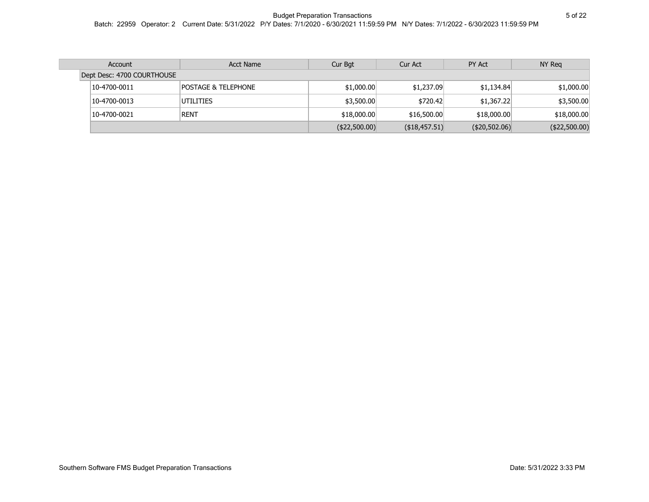| Account                    | Acct Name                      | Cur Bgt       | Cur Act       | PY Act        | NY Rea         |
|----------------------------|--------------------------------|---------------|---------------|---------------|----------------|
| Dept Desc: 4700 COURTHOUSE |                                |               |               |               |                |
| $10 - 4700 - 0011$         | <b>POSTAGE &amp; TELEPHONE</b> | \$1,000.00    | \$1,237.09    | \$1,134.84    | \$1,000.00     |
| 10-4700-0013               | UTILITIES                      | \$3,500.00    | \$720.42      | \$1,367.22    | \$3,500.00     |
| 10-4700-0021               | <b>RENT</b>                    | \$18,000.00   | \$16,500.00   | \$18,000.00   | \$18,000.00    |
|                            |                                | (\$22,500.00) | (\$18,457.51) | (\$20,502.06) | $(*22,500.00)$ |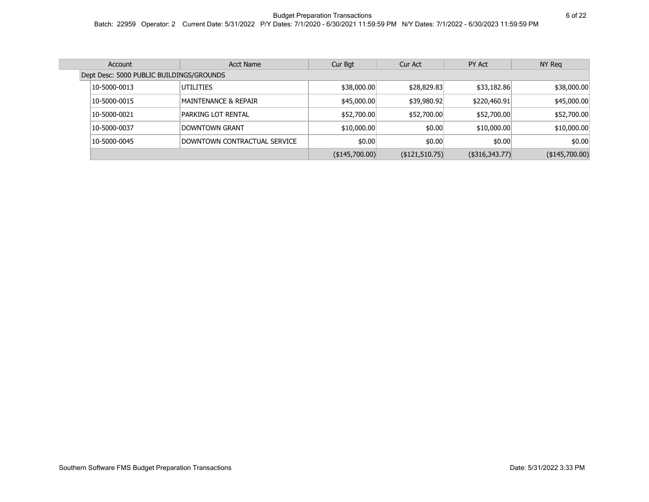| Account                                  | <b>Acct Name</b>             | Cur Bgt               | Cur Act           | PY Act          | NY Req         |
|------------------------------------------|------------------------------|-----------------------|-------------------|-----------------|----------------|
| Dept Desc: 5000 PUBLIC BUILDINGS/GROUNDS |                              |                       |                   |                 |                |
| 10-5000-0013                             | UTILITIES                    | \$38,000.00           | \$28,829.83       | \$33,182.86     | \$38,000.00    |
| 10-5000-0015                             | MAINTENANCE & REPAIR         | \$45,000.00           | \$39,980.92       | \$220,460.91    | \$45,000.00    |
| 10-5000-0021                             | PARKING LOT RENTAL           | \$52,700.00           | \$52,700.00       | \$52,700.00     | \$52,700.00    |
| 10-5000-0037                             | DOWNTOWN GRANT               | \$10,000.00           | \$0.00            | \$10,000.00     | \$10,000.00    |
| 10-5000-0045                             | DOWNTOWN CONTRACTUAL SERVICE | \$0.00                | \$0.00            | \$0.00          | \$0.00         |
|                                          |                              | $($ \$145,700.00) $ $ | $($ \$121,510.75) | $(*316,343.77)$ | (\$145,700.00) |

 $\mathbb{R}^n$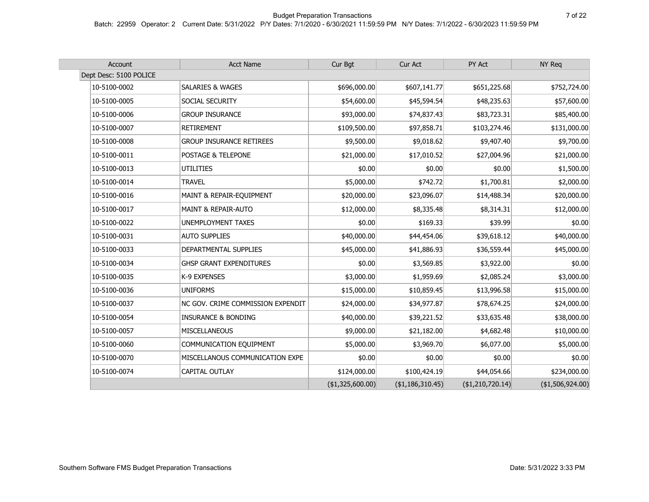| Account                | <b>Acct Name</b>                  | Cur Bgt          | Cur Act          | PY Act              | NY Req           |
|------------------------|-----------------------------------|------------------|------------------|---------------------|------------------|
| Dept Desc: 5100 POLICE |                                   |                  |                  |                     |                  |
| 10-5100-0002           | <b>SALARIES &amp; WAGES</b>       | \$696,000.00     | \$607,141.77     | \$651,225.68        | \$752,724.00     |
| 10-5100-0005           | SOCIAL SECURITY                   | \$54,600.00      | \$45,594.54      | \$48,235.63         | \$57,600.00      |
| 10-5100-0006           | <b>GROUP INSURANCE</b>            | \$93,000.00      | \$74,837.43      | \$83,723.31         | \$85,400.00      |
| 10-5100-0007           | <b>RETIREMENT</b>                 | \$109,500.00     | \$97,858.71      | \$103,274.46        | \$131,000.00     |
| 10-5100-0008           | <b>GROUP INSURANCE RETIREES</b>   | \$9,500.00       | \$9,018.62       | \$9,407.40          | \$9,700.00       |
| 10-5100-0011           | POSTAGE & TELEPONE                | \$21,000.00      | \$17,010.52      | \$27,004.96         | \$21,000.00      |
| 10-5100-0013           | <b>UTILITIES</b>                  | \$0.00           | \$0.00           | \$0.00              | \$1,500.00       |
| 10-5100-0014           | <b>TRAVEL</b>                     | \$5,000.00       | \$742.72         | \$1,700.81          | \$2,000.00       |
| 10-5100-0016           | MAINT & REPAIR-EQUIPMENT          | \$20,000.00      | \$23,096.07      | \$14,488.34         | \$20,000.00      |
| 10-5100-0017           | MAINT & REPAIR-AUTO               | \$12,000.00      | \$8,335.48       | \$8,314.31          | \$12,000.00      |
| 10-5100-0022           | <b>UNEMPLOYMENT TAXES</b>         | \$0.00           | \$169.33         | \$39.99             | \$0.00           |
| 10-5100-0031           | <b>AUTO SUPPLIES</b>              | \$40,000.00      | \$44,454.06      | \$39,618.12         | \$40,000.00      |
| 10-5100-0033           | DEPARTMENTAL SUPPLIES             | \$45,000.00      | \$41,886.93      | \$36,559.44         | \$45,000.00      |
| 10-5100-0034           | <b>GHSP GRANT EXPENDITURES</b>    | \$0.00           | \$3,569.85       | \$3,922.00          | \$0.00           |
| 10-5100-0035           | K-9 EXPENSES                      | \$3,000.00       | \$1,959.69       | \$2,085.24          | \$3,000.00       |
| 10-5100-0036           | <b>UNIFORMS</b>                   | \$15,000.00      | \$10,859.45      | \$13,996.58         | \$15,000.00      |
| 10-5100-0037           | NC GOV. CRIME COMMISSION EXPENDIT | \$24,000.00      | \$34,977.87      | \$78,674.25         | \$24,000.00      |
| 10-5100-0054           | <b>INSURANCE &amp; BONDING</b>    | \$40,000.00      | \$39,221.52      | \$33,635.48         | \$38,000.00      |
| 10-5100-0057           | MISCELLANEOUS                     | \$9,000.00       | \$21,182.00      | \$4,682.48          | \$10,000.00      |
| 10-5100-0060           | COMMUNICATION EQUIPMENT           | \$5,000.00       | \$3,969.70       | \$6,077.00          | \$5,000.00       |
| 10-5100-0070           | MISCELLANOUS COMMUNICATION EXPE   | \$0.00           | \$0.00           | \$0.00              | \$0.00           |
| 10-5100-0074           | CAPITAL OUTLAY                    | \$124,000.00     | \$100,424.19     | \$44,054.66         | \$234,000.00     |
|                        |                                   | (\$1,325,600.00) | (\$1,186,310.45) | $($ \$1,210,720.14) | (\$1,506,924.00) |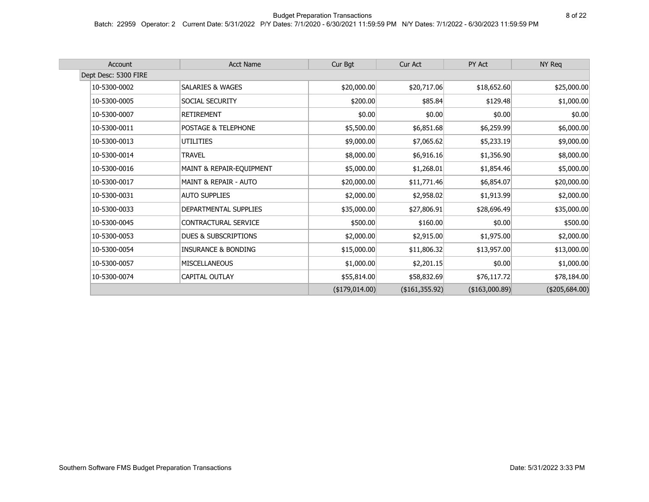| Account              | <b>Acct Name</b>                | Cur Bgt         | Cur Act           | PY Act          | NY Req          |
|----------------------|---------------------------------|-----------------|-------------------|-----------------|-----------------|
| Dept Desc: 5300 FIRE |                                 |                 |                   |                 |                 |
| 10-5300-0002         | SALARIES & WAGES                | \$20,000.00     | \$20,717.06       | \$18,652.60     | \$25,000.00     |
| 10-5300-0005         | SOCIAL SECURITY                 | \$200.00        | \$85.84           | \$129.48        | \$1,000.00      |
| 10-5300-0007         | <b>RETIREMENT</b>               | \$0.00          | \$0.00            | \$0.00          | \$0.00          |
| 10-5300-0011         | POSTAGE & TELEPHONE             | \$5,500.00      | \$6,851.68        | \$6,259.99      | \$6,000.00      |
| 10-5300-0013         | UTILITIES                       | \$9,000.00      | \$7,065.62        | \$5,233.19      | \$9,000.00      |
| 10-5300-0014         | <b>TRAVEL</b>                   | \$8,000.00      | \$6,916.16        | \$1,356.90      | \$8,000.00      |
| 10-5300-0016         | MAINT & REPAIR-EQUIPMENT        | \$5,000.00      | \$1,268.01        | \$1,854.46      | \$5,000.00      |
| 10-5300-0017         | MAINT & REPAIR - AUTO           | \$20,000.00     | \$11,771.46       | \$6,854.07      | \$20,000.00     |
| 10-5300-0031         | <b>AUTO SUPPLIES</b>            | \$2,000.00      | \$2,958.02        | \$1,913.99      | \$2,000.00      |
| 10-5300-0033         | DEPARTMENTAL SUPPLIES           | \$35,000.00     | \$27,806.91       | \$28,696.49     | \$35,000.00     |
| 10-5300-0045         | CONTRACTURAL SERVICE            | \$500.00        | \$160.00          | \$0.00          | \$500.00        |
| 10-5300-0053         | <b>DUES &amp; SUBSCRIPTIONS</b> | \$2,000.00      | \$2,915.00        | \$1,975.00      | \$2,000.00      |
| 10-5300-0054         | <b>INSURANCE &amp; BONDING</b>  | \$15,000.00     | \$11,806.32       | \$13,957.00     | \$13,000.00     |
| 10-5300-0057         | <b>MISCELLANEOUS</b>            | \$1,000.00      | \$2,201.15        | \$0.00          | \$1,000.00      |
| 10-5300-0074         | CAPITAL OUTLAY                  | \$55,814.00     | \$58,832.69       | \$76,117.72     | \$78,184.00     |
|                      |                                 | $(*179,014.00)$ | $($ \$161,355.92) | $(*163,000.89)$ | $(*205,684.00)$ |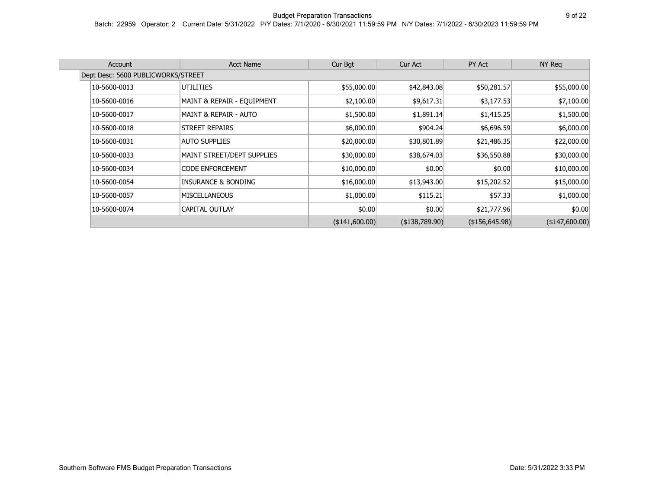| Account                            | <b>Acct Name</b>           | Cur Bgt               | Cur Act         | PY Act                | NY Req          |
|------------------------------------|----------------------------|-----------------------|-----------------|-----------------------|-----------------|
| Dept Desc: 5600 PUBLICWORKS/STREET |                            |                       |                 |                       |                 |
| 10-5600-0013                       | UTILITIES                  | \$55,000.00           | \$42,843.08     | \$50,281.57           | \$55,000.00     |
| 10-5600-0016                       | MAINT & REPAIR - EQUIPMENT | \$2,100.00            | \$9,617.31      | \$3,177.53            | \$7,100.00      |
| 10-5600-0017                       | MAINT & REPAIR - AUTO      | \$1,500.00            | \$1,891.14      | \$1,415.25            | \$1,500.00      |
| 10-5600-0018                       | <b>STREET REPAIRS</b>      | \$6,000.00            | \$904.24        | \$6,696.59            | \$6,000.00      |
| 10-5600-0031                       | <b>AUTO SUPPLIES</b>       | \$20,000.00           | \$30,801.89     | \$21,486.35           | \$22,000.00     |
| 10-5600-0033                       | MAINT STREET/DEPT SUPPLIES | \$30,000.00           | \$38,674.03     | \$36,550.88           | \$30,000.00     |
| 10-5600-0034                       | <b>CODE ENFORCEMENT</b>    | \$10,000.00           | \$0.00          | \$0.00                | \$10,000.00     |
| 10-5600-0054                       | INSURANCE & BONDING        | \$16,000.00           | \$13,943.00     | \$15,202.52           | \$15,000.00     |
| 10-5600-0057                       | <b>MISCELLANEOUS</b>       | \$1,000.00            | \$115.21        | \$57.33               | \$1,000.00      |
| 10-5600-0074                       | CAPITAL OUTLAY             | \$0.00                | \$0.00          | \$21,777.96           | \$0.00          |
|                                    |                            | $($ \$141,600.00) $ $ | ( \$138,789.90) | $($ \$156,645.98) $ $ | $(*147,600.00)$ |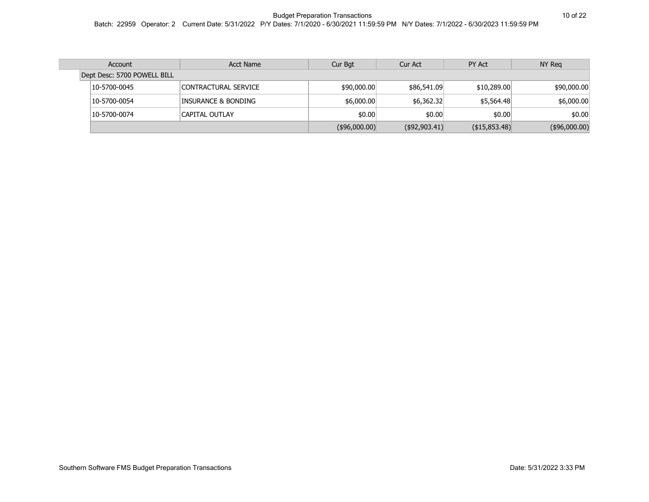| Account                     | Acct Name            | Cur Bgt              | Cur Act       | PY Act               | NY Reg         |
|-----------------------------|----------------------|----------------------|---------------|----------------------|----------------|
| Dept Desc: 5700 POWELL BILL |                      |                      |               |                      |                |
| 10-5700-0045                | CONTRACTURAL SERVICE | \$90,000.00          | \$86,541,09   | \$10,289.00          | \$90,000.00    |
| 10-5700-0054                | INSURANCE & BONDING  | \$6,000.00           | \$6,362.32    | \$5,564.48           | \$6,000.00     |
| 10-5700-0074                | CAPITAL OUTLAY       | \$0.00               | \$0.00        | \$0.00               | \$0.00         |
|                             |                      | $($ \$96,000.00) $ $ | (\$92,903.41) | $($ \$15,853.48) $ $ | $(*96,000.00)$ |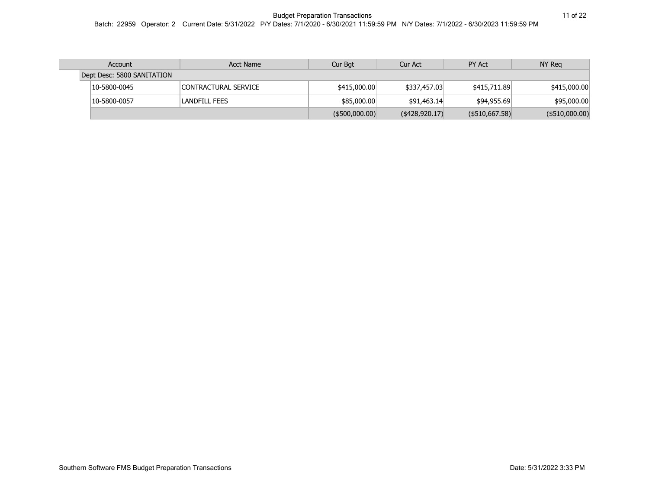| Account                    | <b>Acct Name</b>     | Cur Bgt               | Cur Act               | PY Act                | NY Reg            |  |
|----------------------------|----------------------|-----------------------|-----------------------|-----------------------|-------------------|--|
| Dept Desc: 5800 SANITATION |                      |                       |                       |                       |                   |  |
| 10-5800-0045               | CONTRACTURAL SERVICE | \$415,000.00          | \$337,457.03          | \$415,711.89          | \$415,000.00      |  |
| 10-5800-0057               | LANDFILL FEES        | \$85,000.00           | \$91,463.14           | \$94,955,69           | \$95,000.00       |  |
|                            |                      | $($ \$500,000.00) $ $ | $($ \$428,920.17) $ $ | $($ \$510,667.58) $ $ | $($ \$510,000.00) |  |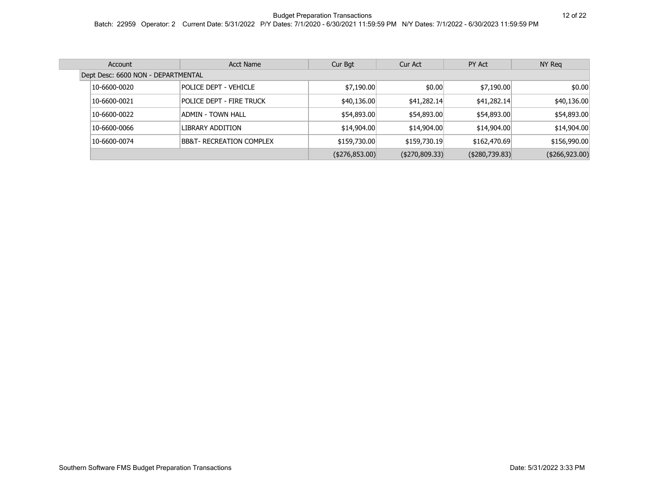| Account                            | <b>Acct Name</b>                    | Cur Bgt          | Cur Act               | PY Act            | NY Reg         |
|------------------------------------|-------------------------------------|------------------|-----------------------|-------------------|----------------|
| Dept Desc: 6600 NON - DEPARTMENTAL |                                     |                  |                       |                   |                |
| 10-6600-0020                       | POLICE DEPT - VEHICLE               | \$7,190.00       | \$0.00                | \$7,190.00        | \$0.00         |
| 10-6600-0021                       | POLICE DEPT - FIRE TRUCK            | \$40,136.00      | \$41,282.14           | \$41,282.14       | \$40,136.00    |
| 10-6600-0022                       | ADMIN - TOWN HALL                   | \$54,893.00      | \$54,893.00           | \$54,893.00       | \$54,893.00    |
| 10-6600-0066                       | LIBRARY ADDITION                    | \$14,904.00      | \$14,904.00           | \$14,904.00       | \$14,904.00    |
| 10-6600-0074                       | <b>BB&amp;T- RECREATION COMPLEX</b> | \$159,730.00     | \$159,730.19          | \$162,470.69      | \$156,990.00   |
|                                    |                                     | $(*276, 853.00)$ | $($ \$270,809.33) $ $ | $($ \$280,739.83) | (\$266,923.00) |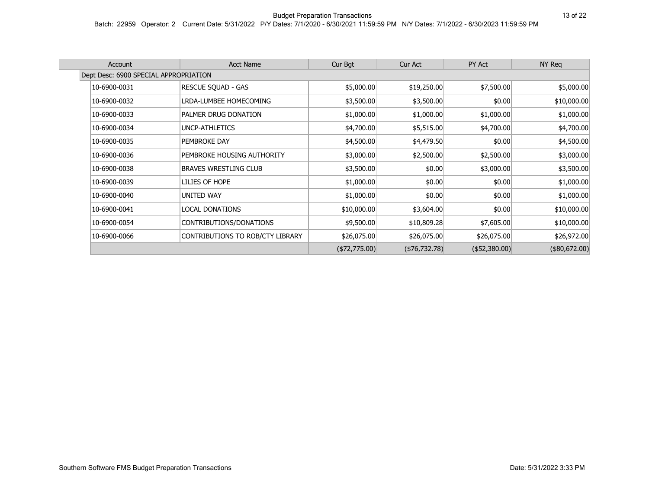| Account      | <b>Acct Name</b>                      | Cur Bgt       | Cur Act       | PY Act           | NY Reg         |  |  |  |
|--------------|---------------------------------------|---------------|---------------|------------------|----------------|--|--|--|
|              | Dept Desc: 6900 SPECIAL APPROPRIATION |               |               |                  |                |  |  |  |
| 10-6900-0031 | RESCUE SQUAD - GAS                    | \$5,000.00    | \$19,250.00   | \$7,500.00       | \$5,000.00     |  |  |  |
| 10-6900-0032 | LRDA-LUMBEE HOMECOMING                | \$3,500.00    | \$3,500.00    | \$0.00           | \$10,000.00    |  |  |  |
| 10-6900-0033 | PALMER DRUG DONATION                  | \$1,000.00    | \$1,000.00    | \$1,000.00       | \$1,000.00     |  |  |  |
| 10-6900-0034 | UNCP-ATHLETICS                        | \$4,700.00    | \$5,515.00    | \$4,700.00       | \$4,700.00     |  |  |  |
| 10-6900-0035 | PEMBROKE DAY                          | \$4,500.00    | \$4,479.50    | \$0.00           | \$4,500.00     |  |  |  |
| 10-6900-0036 | PEMBROKE HOUSING AUTHORITY            | \$3,000.00    | \$2,500.00    | \$2,500.00       | \$3,000.00     |  |  |  |
| 10-6900-0038 | <b>BRAVES WRESTLING CLUB</b>          | \$3,500.00    | \$0.00        | \$3,000.00       | \$3,500.00     |  |  |  |
| 10-6900-0039 | LILIES OF HOPE                        | \$1,000.00    | \$0.00        | \$0.00           | \$1,000.00     |  |  |  |
| 10-6900-0040 | UNITED WAY                            | \$1,000.00    | \$0.00        | \$0.00           | \$1,000.00     |  |  |  |
| 10-6900-0041 | LOCAL DONATIONS                       | \$10,000.00   | \$3,604.00    | \$0.00           | \$10,000.00    |  |  |  |
| 10-6900-0054 | CONTRIBUTIONS/DONATIONS               | \$9,500.00    | \$10,809.28   | \$7,605.00       | \$10,000.00    |  |  |  |
| 10-6900-0066 | CONTRIBUTIONS TO ROB/CTY LIBRARY      | \$26,075.00   | \$26,075.00   | \$26,075.00      | \$26,972.00    |  |  |  |
|              |                                       | (\$72,775.00) | (476, 732.78) | $($ \$52,380.00) | $(*80,672.00)$ |  |  |  |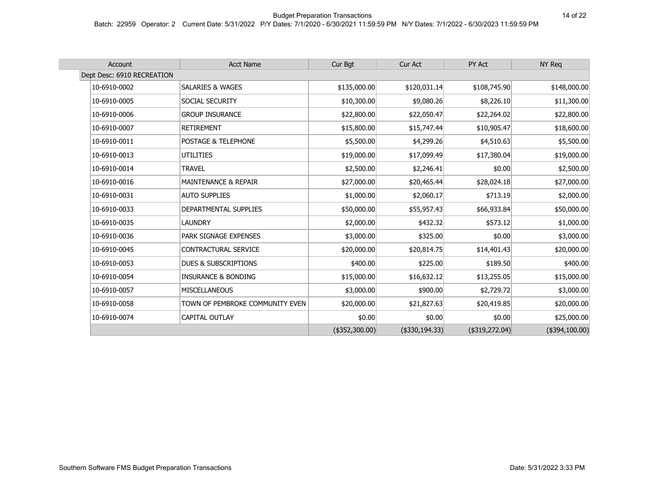| Account                    | <b>Acct Name</b>                | Cur Bgt         | Cur Act         | PY Act          | NY Req          |
|----------------------------|---------------------------------|-----------------|-----------------|-----------------|-----------------|
| Dept Desc: 6910 RECREATION |                                 |                 |                 |                 |                 |
| 10-6910-0002               | <b>SALARIES &amp; WAGES</b>     | \$135,000.00    | \$120,031.14    | \$108,745.90    | \$148,000.00    |
| 10-6910-0005               | SOCIAL SECURITY                 | \$10,300.00     | \$9,080.26      | \$8,226.10      | \$11,300.00     |
| 10-6910-0006               | <b>GROUP INSURANCE</b>          | \$22,800.00     | \$22,050.47     | \$22,264.02     | \$22,800.00     |
| 10-6910-0007               | <b>RETIREMENT</b>               | \$15,800.00     | \$15,747.44     | \$10,905.47     | \$18,600.00     |
| 10-6910-0011               | POSTAGE & TELEPHONE             | \$5,500.00      | \$4,299.26      | \$4,510.63      | \$5,500.00      |
| 10-6910-0013               | <b>UTILITIES</b>                | \$19,000.00     | \$17,099.49     | \$17,380.04     | \$19,000.00     |
| 10-6910-0014               | <b>TRAVEL</b>                   | \$2,500.00      | \$2,246.41      | \$0.00          | \$2,500.00      |
| 10-6910-0016               | <b>MAINTENANCE &amp; REPAIR</b> | \$27,000.00     | \$20,465.44     | \$28,024.18     | \$27,000.00     |
| 10-6910-0031               | <b>AUTO SUPPLIES</b>            | \$1,000.00      | \$2,060.17      | \$713.19        | \$2,000.00      |
| 10-6910-0033               | DEPARTMENTAL SUPPLIES           | \$50,000.00     | \$55,957.43     | \$66,933.84     | \$50,000.00     |
| 10-6910-0035               | <b>LAUNDRY</b>                  | \$2,000.00      | \$432.32        | \$573.12        | \$1,000.00      |
| 10-6910-0036               | PARK SIGNAGE EXPENSES           | \$3,000.00      | \$325.00        | \$0.00          | \$3,000.00      |
| 10-6910-0045               | CONTRACTURAL SERVICE            | \$20,000.00     | \$20,814.75     | \$14,401.43     | \$20,000.00     |
| 10-6910-0053               | <b>DUES &amp; SUBSCRIPTIONS</b> | \$400.00]       | \$225.00        | \$189.50        | \$400.00        |
| 10-6910-0054               | <b>INSURANCE &amp; BONDING</b>  | \$15,000.00     | \$16,632.12     | \$13,255.05     | \$15,000.00     |
| 10-6910-0057               | <b>MISCELLANEOUS</b>            | \$3,000.00      | \$900.00        | \$2,729.72      | \$3,000.00      |
| 10-6910-0058               | TOWN OF PEMBROKE COMMUNITY EVEN | \$20,000.00     | \$21,827.63     | \$20,419.85     | \$20,000.00     |
| 10-6910-0074               | CAPITAL OUTLAY                  | \$0.00          | \$0.00          | \$0.00          | \$25,000.00     |
|                            |                                 | $(*352,300.00)$ | $(*330,194.33)$ | $(*319,272.04)$ | $(*394,100.00)$ |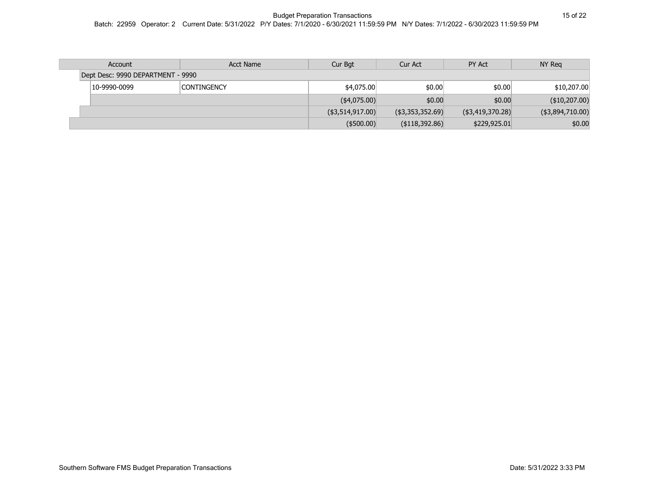| Account                           | Acct Name          | Cur Bgt             | Cur Act           | PY Act                  | NY Rea           |  |
|-----------------------------------|--------------------|---------------------|-------------------|-------------------------|------------------|--|
| Dept Desc: 9990 DEPARTMENT - 9990 |                    |                     |                   |                         |                  |  |
| 10-9990-0099                      | <b>CONTINGENCY</b> | \$4,075.00          | \$0.00            | \$0.00                  | \$10,207.00      |  |
|                                   |                    | $($ \$4,075.00) $ $ | \$0.00            | \$0.00                  | ( \$10, 207.00)  |  |
|                                   |                    | (\$3,514,917.00)    | (\$3,353,352.69)  | $($ \$3,419,370.28) $ $ | (\$3,894,710.00) |  |
|                                   |                    | $($ \$500.00) $ $   | $($ \$118,392.86) | \$229,925.01            | \$0.00           |  |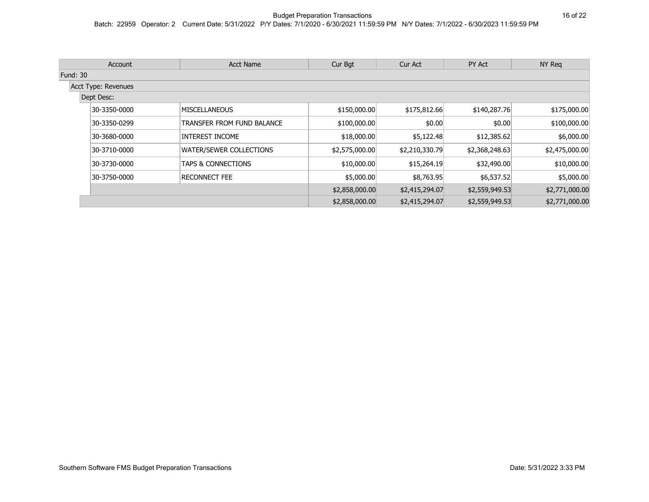|                 | Account             | <b>Acct Name</b>              | Cur Bgt        | Cur Act        | PY Act         | NY Req         |
|-----------------|---------------------|-------------------------------|----------------|----------------|----------------|----------------|
| <b>Fund: 30</b> |                     |                               |                |                |                |                |
|                 | Acct Type: Revenues |                               |                |                |                |                |
|                 | Dept Desc:          |                               |                |                |                |                |
|                 | 30-3350-0000        | MISCELLANEOUS                 | \$150,000.00   | \$175,812.66   | \$140,287.76   | \$175,000.00   |
|                 | 30-3350-0299        | TRANSFER FROM FUND BALANCE    | \$100,000.00   | \$0.00         | \$0.00         | \$100,000.00   |
|                 | 30-3680-0000        | INTEREST INCOME               | \$18,000.00    | \$5,122.48     | \$12,385.62    | \$6,000.00     |
|                 | 30-3710-0000        | WATER/SEWER COLLECTIONS       | \$2,575,000.00 | \$2,210,330.79 | \$2,368,248.63 | \$2,475,000.00 |
|                 | 30-3730-0000        | <b>TAPS &amp; CONNECTIONS</b> | \$10,000.00    | \$15,264.19    | \$32,490.00    | \$10,000.00    |
|                 | 30-3750-0000        | <b>RECONNECT FEE</b>          | \$5,000.00     | \$8,763.95     | \$6,537.52     | \$5,000.00     |
|                 |                     |                               | \$2,858,000.00 | \$2,415,294.07 | \$2,559,949.53 | \$2,771,000.00 |
|                 |                     |                               | \$2,858,000.00 | \$2,415,294.07 | \$2,559,949.53 | \$2,771,000.00 |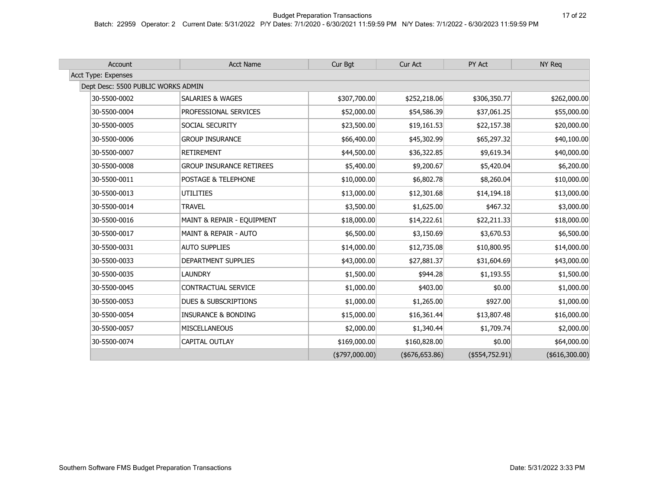| Account                            | <b>Acct Name</b>                 | Cur Bgt         | Cur Act           | PY Act          | NY Req          |
|------------------------------------|----------------------------------|-----------------|-------------------|-----------------|-----------------|
| Acct Type: Expenses                |                                  |                 |                   |                 |                 |
| Dept Desc: 5500 PUBLIC WORKS ADMIN |                                  |                 |                   |                 |                 |
| 30-5500-0002                       | <b>SALARIES &amp; WAGES</b>      | \$307,700.00    | \$252,218.06      | \$306,350.77    | \$262,000.00    |
| 30-5500-0004                       | PROFESSIONAL SERVICES            | \$52,000.00     | \$54,586.39       | \$37,061.25     | \$55,000.00     |
| 30-5500-0005                       | SOCIAL SECURITY                  | \$23,500.00     | \$19,161.53       | \$22,157.38     | \$20,000.00     |
| 30-5500-0006                       | <b>GROUP INSURANCE</b>           | \$66,400.00     | \$45,302.99       | \$65,297.32     | \$40,100.00     |
| 30-5500-0007                       | <b>RETIREMENT</b>                | \$44,500.00     | \$36,322.85       | \$9,619.34      | \$40,000.00     |
| 30-5500-0008                       | <b>GROUP INSURANCE RETIREES</b>  | \$5,400.00      | \$9,200.67        | \$5,420.04      | \$6,200.00      |
| 30-5500-0011                       | POSTAGE & TELEPHONE              | \$10,000.00     | \$6,802.78        | \$8,260.04      | \$10,000.00     |
| 30-5500-0013                       | <b>UTILITIES</b>                 | \$13,000.00     | \$12,301.68       | \$14,194.18     | \$13,000.00     |
| 30-5500-0014                       | <b>TRAVEL</b>                    | \$3,500.00      | \$1,625.00        | \$467.32        | \$3,000.00      |
| 30-5500-0016                       | MAINT & REPAIR - EQUIPMENT       | \$18,000.00     | \$14,222.61       | \$22,211.33     | \$18,000.00     |
| 30-5500-0017                       | <b>MAINT &amp; REPAIR - AUTO</b> | \$6,500.00      | \$3,150.69        | \$3,670.53      | \$6,500.00      |
| 30-5500-0031                       | <b>AUTO SUPPLIES</b>             | \$14,000.00     | \$12,735.08       | \$10,800.95     | \$14,000.00     |
| 30-5500-0033                       | DEPARTMENT SUPPLIES              | \$43,000.00     | \$27,881.37       | \$31,604.69     | \$43,000.00     |
| 30-5500-0035                       | <b>LAUNDRY</b>                   | \$1,500.00      | \$944.28          | \$1,193.55      | \$1,500.00      |
| 30-5500-0045                       | <b>CONTRACTUAL SERVICE</b>       | \$1,000.00      | \$403.00          | \$0.00          | \$1,000.00      |
| 30-5500-0053                       | <b>DUES &amp; SUBSCRIPTIONS</b>  | \$1,000.00      | \$1,265.00        | \$927.00        | \$1,000.00      |
| 30-5500-0054                       | <b>INSURANCE &amp; BONDING</b>   | \$15,000.00     | \$16,361.44       | \$13,807.48     | \$16,000.00     |
| 30-5500-0057                       | MISCELLANEOUS                    | \$2,000.00      | \$1,340.44        | \$1,709.74      | \$2,000.00      |
| 30-5500-0074                       | CAPITAL OUTLAY                   | \$169,000.00    | \$160,828.00      | \$0.00          | \$64,000.00     |
|                                    |                                  | $(*797,000.00)$ | $($ \$676,653.86) | $(*554,752.91)$ | $(*616,300.00)$ |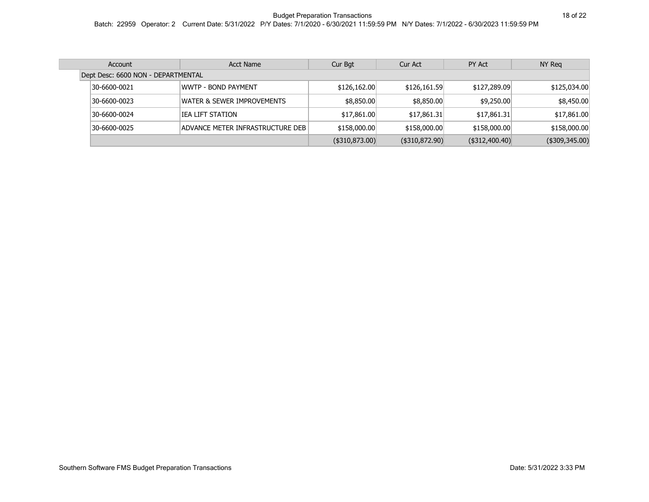| Account                            | <b>Acct Name</b>                 | Cur Bgt | Cur Act     | PY Act                                                                       | NY Reg                                                                                                                                              |  |  |
|------------------------------------|----------------------------------|---------|-------------|------------------------------------------------------------------------------|-----------------------------------------------------------------------------------------------------------------------------------------------------|--|--|
| Dept Desc: 6600 NON - DEPARTMENTAL |                                  |         |             |                                                                              |                                                                                                                                                     |  |  |
| 30-6600-0021                       | WWTP - BOND PAYMENT              |         |             |                                                                              | \$125,034.00                                                                                                                                        |  |  |
| 30-6600-0023                       | WATER & SEWER IMPROVEMENTS       |         |             |                                                                              | \$8,450.00                                                                                                                                          |  |  |
| 30-6600-0024                       | IEA LIFT STATION                 |         | \$17,861.31 |                                                                              | \$17,861.00                                                                                                                                         |  |  |
| 30-6600-0025                       | ADVANCE METER INFRASTRUCTURE DEB |         |             |                                                                              | \$158,000.00                                                                                                                                        |  |  |
|                                    |                                  |         |             |                                                                              | (\$309,345.00)                                                                                                                                      |  |  |
|                                    |                                  |         |             | \$126,162.00<br>\$8,850.00<br>\$17,861.00<br>\$158,000.00<br>$(*310,873.00)$ | \$127,289.09<br>\$126,161.59<br>\$8,850.00<br>\$9,250.00<br>\$17,861.31<br>\$158,000.00<br>\$158,000.00<br>$($ \$310,872.90) $ $<br>$(*312,400.40)$ |  |  |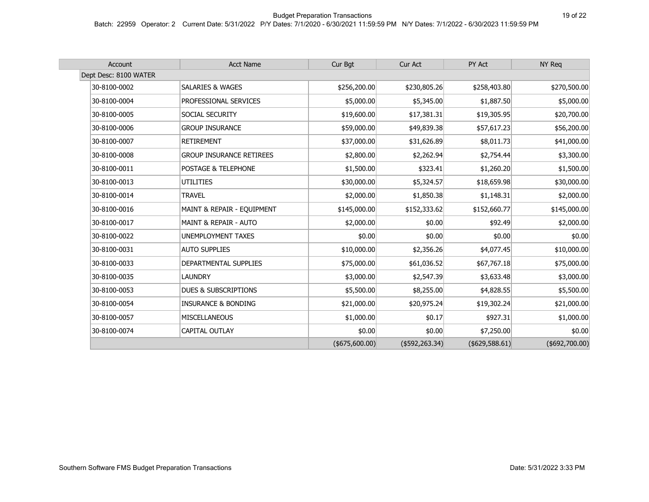| Account               | <b>Acct Name</b>                 | Cur Bgt         | Cur Act         | PY Act            | NY Req          |
|-----------------------|----------------------------------|-----------------|-----------------|-------------------|-----------------|
| Dept Desc: 8100 WATER |                                  |                 |                 |                   |                 |
| 30-8100-0002          | <b>SALARIES &amp; WAGES</b>      | \$256,200.00    | \$230,805.26    | \$258,403.80      | \$270,500.00    |
| 30-8100-0004          | PROFESSIONAL SERVICES            | \$5,000.00      | \$5,345.00      | \$1,887.50        | \$5,000.00      |
| 30-8100-0005          | SOCIAL SECURITY                  | \$19,600.00     | \$17,381.31     | \$19,305.95       | \$20,700.00     |
| 30-8100-0006          | <b>GROUP INSURANCE</b>           | \$59,000.00     | \$49,839.38     | \$57,617.23       | \$56,200.00     |
| 30-8100-0007          | <b>RETIREMENT</b>                | \$37,000.00     | \$31,626.89     | \$8,011.73        | \$41,000.00     |
| 30-8100-0008          | <b>GROUP INSURANCE RETIREES</b>  | \$2,800.00      | \$2,262.94      | \$2,754.44        | \$3,300.00      |
| 30-8100-0011          | POSTAGE & TELEPHONE              | \$1,500.00      | \$323.41        | \$1,260.20        | \$1,500.00      |
| 30-8100-0013          | <b>UTILITIES</b>                 | \$30,000.00     | \$5,324.57      | \$18,659.98       | \$30,000.00     |
| 30-8100-0014          | <b>TRAVEL</b>                    | \$2,000.00      | \$1,850.38      | \$1,148.31        | \$2,000.00      |
| 30-8100-0016          | MAINT & REPAIR - EQUIPMENT       | \$145,000.00    | \$152,333.62    | \$152,660.77      | \$145,000.00    |
| 30-8100-0017          | <b>MAINT &amp; REPAIR - AUTO</b> | \$2,000.00      | \$0.00          | \$92.49           | \$2,000.00      |
| 30-8100-0022          | <b>UNEMPLOYMENT TAXES</b>        | \$0.00          | \$0.00          | \$0.00            | \$0.00          |
| 30-8100-0031          | <b>AUTO SUPPLIES</b>             | \$10,000.00     | \$2,356.26      | \$4,077.45        | \$10,000.00     |
| 30-8100-0033          | DEPARTMENTAL SUPPLIES            | \$75,000.00     | \$61,036.52     | \$67,767.18       | \$75,000.00     |
| 30-8100-0035          | <b>LAUNDRY</b>                   | \$3,000.00      | \$2,547.39      | \$3,633.48        | \$3,000.00      |
| 30-8100-0053          | <b>DUES &amp; SUBSCRIPTIONS</b>  | \$5,500.00      | \$8,255.00      | \$4,828.55        | \$5,500.00      |
| 30-8100-0054          | <b>INSURANCE &amp; BONDING</b>   | \$21,000.00     | \$20,975.24     | \$19,302.24       | \$21,000.00     |
| 30-8100-0057          | <b>MISCELLANEOUS</b>             | \$1,000.00      | \$0.17          | \$927.31          | \$1,000.00      |
| 30-8100-0074          | CAPITAL OUTLAY                   | \$0.00          | \$0.00          | \$7,250.00        | \$0.00          |
|                       |                                  | $(*675,600.00)$ | $(*592,263.34)$ | $($ \$629,588.61) | $(*692,700.00)$ |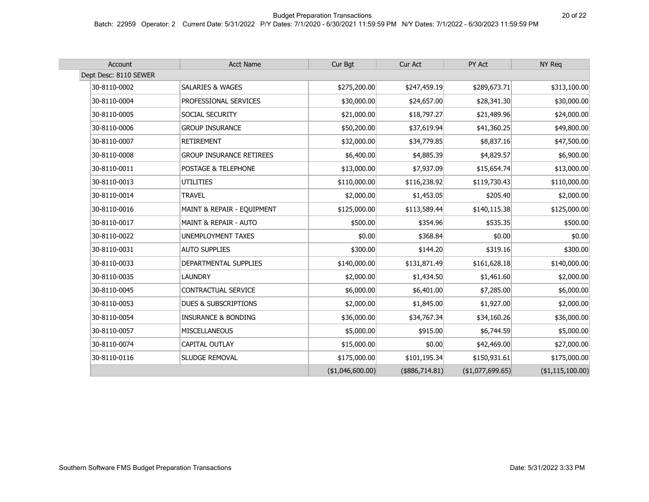| Account               | <b>Acct Name</b>                | Cur Bgt          | Cur Act         | PY Act            | NY Req              |
|-----------------------|---------------------------------|------------------|-----------------|-------------------|---------------------|
| Dept Desc: 8110 SEWER |                                 |                  |                 |                   |                     |
| 30-8110-0002          | <b>SALARIES &amp; WAGES</b>     | \$275,200.00     | \$247,459.19    | \$289,673.71      | \$313,100.00        |
| 30-8110-0004          | PROFESSIONAL SERVICES           | \$30,000.00      | \$24,657.00     | \$28,341.30       | \$30,000.00         |
| 30-8110-0005          | SOCIAL SECURITY                 | \$21,000.00      | \$18,797.27     | \$21,489.96       | \$24,000.00         |
| 30-8110-0006          | <b>GROUP INSURANCE</b>          | \$50,200.00      | \$37,619.94     | \$41,360.25       | \$49,800.00         |
| 30-8110-0007          | <b>RETIREMENT</b>               | \$32,000.00      | \$34,779.85     | \$8,837.16        | \$47,500.00         |
| 30-8110-0008          | <b>GROUP INSURANCE RETIREES</b> | \$6,400.00       | \$4,885.39      | \$4,829.57        | \$6,900.00          |
| 30-8110-0011          | POSTAGE & TELEPHONE             | \$13,000.00      | \$7,937.09      | \$15,654.74       | \$13,000.00         |
| 30-8110-0013          | <b>UTILITIES</b>                | \$110,000.00     | \$116,238.92    | \$119,730.43      | \$110,000.00        |
| 30-8110-0014          | <b>TRAVEL</b>                   | \$2,000.00       | \$1,453.05      | \$205.40          | \$2,000.00          |
| 30-8110-0016          | MAINT & REPAIR - EQUIPMENT      | \$125,000.00     | \$113,589.44    | \$140,115.38      | \$125,000.00        |
| 30-8110-0017          | MAINT & REPAIR - AUTO           | \$500.00         | \$354.96        | \$535.35          | \$500.00            |
| 30-8110-0022          | <b>UNEMPLOYMENT TAXES</b>       | \$0.00           | \$368.84        | \$0.00            | \$0.00              |
| 30-8110-0031          | <b>AUTO SUPPLIES</b>            | \$300.00         | \$144.20        | \$319.16          | \$300.00            |
| 30-8110-0033          | DEPARTMENTAL SUPPLIES           | \$140,000.00     | \$131,871.49    | \$161,628.18      | \$140,000.00        |
| 30-8110-0035          | <b>LAUNDRY</b>                  | \$2,000.00       | \$1,434.50      | \$1,461.60        | \$2,000.00          |
| 30-8110-0045          | CONTRACTUAL SERVICE             | \$6,000.00       | \$6,401.00      | \$7,285.00        | \$6,000.00          |
| 30-8110-0053          | <b>DUES &amp; SUBSCRIPTIONS</b> | \$2,000.00       | \$1,845.00      | \$1,927.00        | \$2,000.00          |
| 30-8110-0054          | <b>INSURANCE &amp; BONDING</b>  | \$36,000.00      | \$34,767.34     | \$34,160.26       | \$36,000.00         |
| 30-8110-0057          | MISCELLANEOUS                   | \$5,000.00       | \$915.00        | \$6,744.59        | \$5,000.00          |
| 30-8110-0074          | CAPITAL OUTLAY                  | \$15,000.00      | \$0.00          | \$42,469.00       | \$27,000.00         |
| 30-8110-0116          | SLUDGE REMOVAL                  | \$175,000.00     | \$101,195.34    | \$150,931.61      | \$175,000.00        |
|                       |                                 | (\$1,046,600.00) | $(*886,714.81)$ | $(*1,077,699.65)$ | $($ \$1,115,100.00) |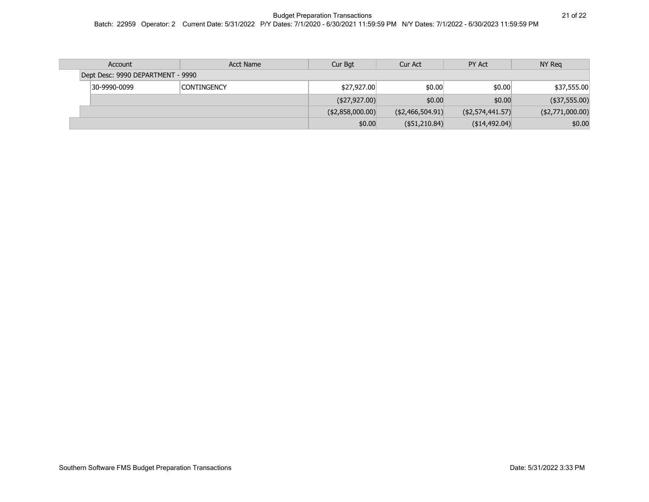| Account                           | Acct Name          | Cur Bgt           | Cur Act              | PY Act               | NY Rea           |  |  |
|-----------------------------------|--------------------|-------------------|----------------------|----------------------|------------------|--|--|
| Dept Desc: 9990 DEPARTMENT - 9990 |                    |                   |                      |                      |                  |  |  |
| 30-9990-0099                      | <b>CONTINGENCY</b> | \$27,927.00       | \$0.00               | \$0.00               | \$37,555.00      |  |  |
|                                   |                    | (\$27,927.00)     | \$0.00               | \$0.00               | $(*37,555.00)$   |  |  |
|                                   |                    | ( \$2,858,000.00) | (\$2,466,504.91)     | (\$2,574,441.57)     | (\$2,771,000.00) |  |  |
|                                   |                    | \$0.00            | $($ \$51,210.84) $ $ | $($ \$14,492.04) $ $ | \$0.00           |  |  |